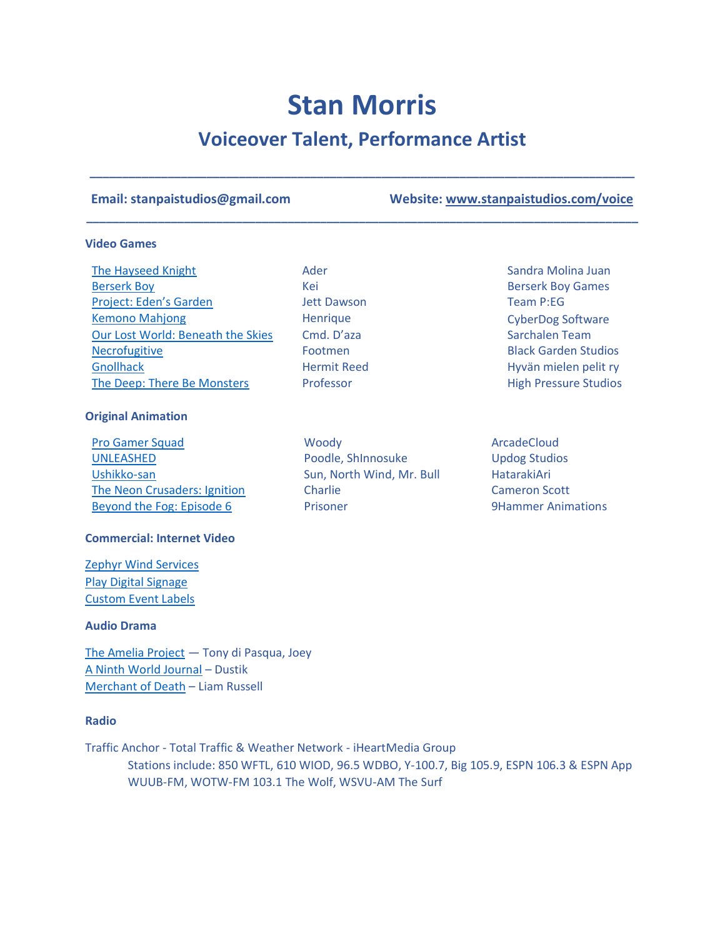# **Stan Morris**

## **Voiceover Talent, Performance Artist**

**\_\_\_\_\_\_\_\_\_\_\_\_\_\_\_\_\_\_\_\_\_\_\_\_\_\_\_\_\_\_\_\_\_\_\_\_\_\_\_\_\_\_\_\_\_\_\_\_\_\_\_\_\_\_\_\_\_\_\_\_\_\_\_\_\_\_\_\_\_\_\_\_\_\_\_\_\_\_\_\_\_\_\_\_**

**\_\_\_\_\_\_\_\_\_\_\_\_\_\_\_\_\_\_\_\_\_\_\_\_\_\_\_\_\_\_\_\_\_\_\_\_\_\_\_\_\_\_\_\_\_\_\_\_\_\_\_\_\_\_\_\_\_\_\_\_\_\_\_\_\_\_\_\_\_\_\_\_\_\_\_\_\_\_\_\_\_\_\_\_\_**

Jett Dawson Henrique

Footmen

**Email: stanpaistudios@gmail.com Website: [www.stanpaistudios.com/voice](http://www.stanpaistudios.com/)**

Team P:EG

CyberDog Software

Black Garden Studios Hyvän mielen pelit ry High Pressure Studios

#### **Video Games**

[The Hayseed Knight](https://store.steampowered.com/app/1332990/The_Hayseed_Knight/) **Ader** Ader Sandra Molina Juan Ader Sandra Molina Juan [Berserk Boy](https://store.steampowered.com/app/1561340/Berserk_Boy/) **Berserk Boy Cames** Kei **Berserk Boy Games** [Project: Eden's Garden](https://youtu.be/YgwHaTih0Cw?t=185) [Kemono Mahjong](https://store.steampowered.com/app/1508430/Kemono_Mahjong/) [Our Lost World: Beneath the Skies](https://sarchalen.itch.io/our-lost-world-beneath-the-skies) Cmd. D'aza Sarchalen Team **[Necrofugitive](https://blackgardenstudios.itch.io/necrofugitive-demo) [Gnollhack](https://play.google.com/store/apps/details?id=com.soundmindentertainment.gnollhack)** [The Deep: There Be Monsters](https://floridamancam.itch.io/the-deep)

#### **Original Animation**

[Pro Gamer Squad](https://youtu.be/oUI0-vTp6xE) **Moody** Moody ArcadeCloud [UNLEASHED](https://youtu.be/ywWVflwgAyo) Poodle, ShInnosuke Updog Studios [Ushikko-san](https://youtu.be/TSgP0PDluu8) Sun, North Wind, Mr. Bull HatarakiAri [The Neon Crusaders: Ignition](https://youtu.be/nJk2655Zlt4) Charlie Cameron Scott [Beyond the Fog: Episode 6](https://youtu.be/Xn89lC0X10w) **Prisoner** Prisoner 19Hammer Animations

#### **Commercial: Internet Video**

[Zephyr Wind Services](https://youtu.be/Obeijdxewfk) [Play Digital Signage](https://youtu.be/GxKefunQtGk) [Custom Event Labels](https://customeventlabels.com/wp-content/uploads/2021/03/yt1s.com-Custom-Event-Label_1080p.mp4?_=1)

#### **Audio Drama**

[The Amelia Project](https://ameliapodcast.com/) — Tony di Pasqua, Joey [A Ninth World Journal](https://ninthworldjournal.com/) – Dustik [Merchant of Death](https://anchor.fm/joshua-belmonte/episodes/Merchant-of-Death-Episode-1-eci2i0) – Liam Russell

#### **Radio**

Traffic Anchor - Total Traffic & Weather Network - iHeartMedia Group Stations include: 850 WFTL, 610 WIOD, 96.5 WDBO, Y-100.7, Big 105.9, ESPN 106.3 & ESPN App WUUB-FM, WOTW-FM 103.1 The Wolf, WSVU-AM The Surf

Hermit Reed Professor